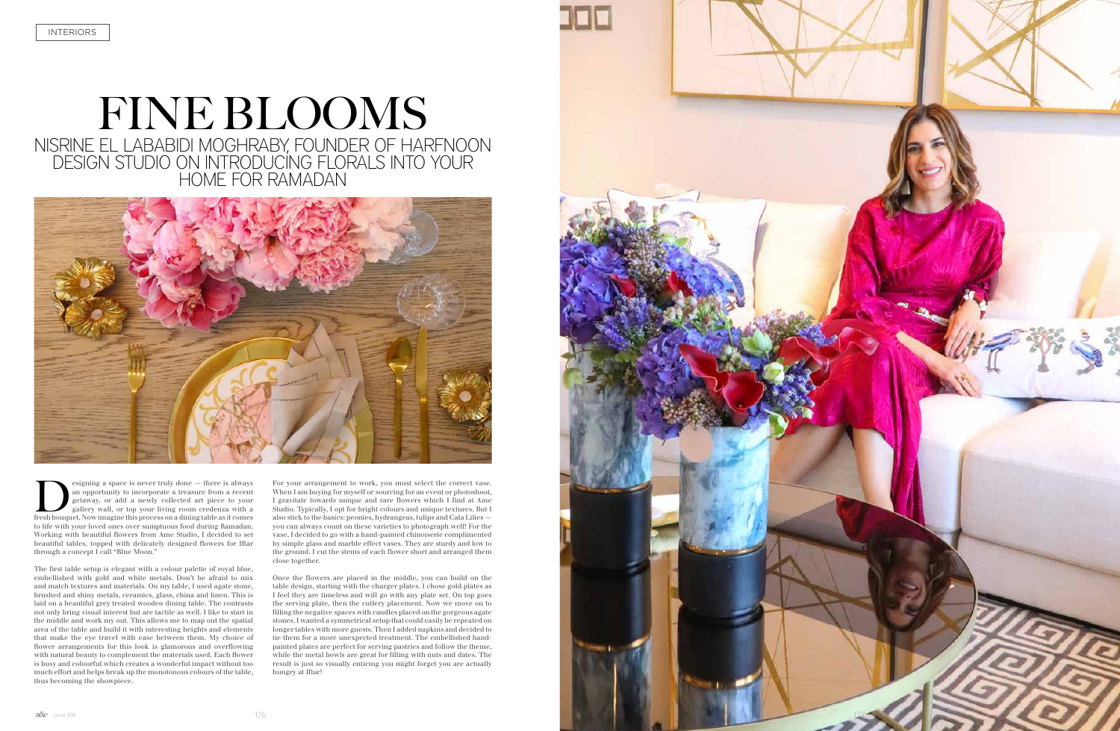## FINE BLOOMS NISRINE EL LABABIDI MOGHRABY, FOUNDER OF HARFNOON DESIGN STUDIO ON INTRODUCING FLORALS INTO YOUR HOME FOR RAMADAN



**Example 3** as pace is never truly done — there is always an opportunity to incorporate a treasure from a recent getaway, or add a newly collected art piece to your gallery wall, or top your living room credenza with a fre an opportunity to incorporate a treasure from a recent getaway, or add a newly collected art piece to your gallery wall, or top your living room credenza with a to life with your loved ones over sumptuous food during Ramadan. Working with beautiful flowers from Ame Studio, I decided to set beautiful tables, topped with delicately designed flowers for Iftar through a concept I call "Blue Moon."

The first table setup is elegant with a colour palette of royal blue, embellished with gold and white metals. Don't be afraid to mix and match textures and materials. On my table, I used agate stone, brushed and shiny metals, ceramics, glass, china and linen. This is laid on a beautiful grey treated wooden dining table. The contrasts not only bring visual interest but are tactile as well. I like to start in the middle and work my out. This allows me to map out the spatial area of the table and build it with interesting heights and elements that make the eye travel with ease between them. My choice of flower arrangements for this look is glamorous and overflowing with natural beauty to complement the materials used. Each flower is busy and colourful which creates a wonderful impact without too much effort and helps break up the monotonous colours of the table, thus becoming the showpiece.

For your arrangement to work, you must select the correct vase. When I am buying for myself or sourcing for an event or photoshoot, I gravitate towards unique and rare flowers which I find at Ame Studio. Typically, I opt for bright colours and unique textures. But I also stick to the basics: peonies, hydrangeas, tulips and Cala Lilies you can always count on these varieties to photograph well! For the vase, I decided to go with a hand-painted chinoiserie complimented by simple glass and marble effect vases. They are sturdy and low to the ground. I cut the stems of each flower short and arranged them close together.

Once the flowers are placed in the middle, you can build on the table design, starting with the charger plates. I chose gold plates as I feel they are timeless and will go with any plate set. On top goes the serving plate, then the cutlery placement. Now we move on to filling the negative spaces with candles placed on the gorgeous agate stones. I wanted a symmetrical setup that could easily be repeated on longer tables with more guests. Then I added napkins and decided to tie them for a more unexpected treatment. The embellished handpainted plates are perfect for serving pastries and follow the theme, while the metal bowls are great for filling with nuts and dates. The result is just so visually enticing you might forget you are actually hungry at Iftar!